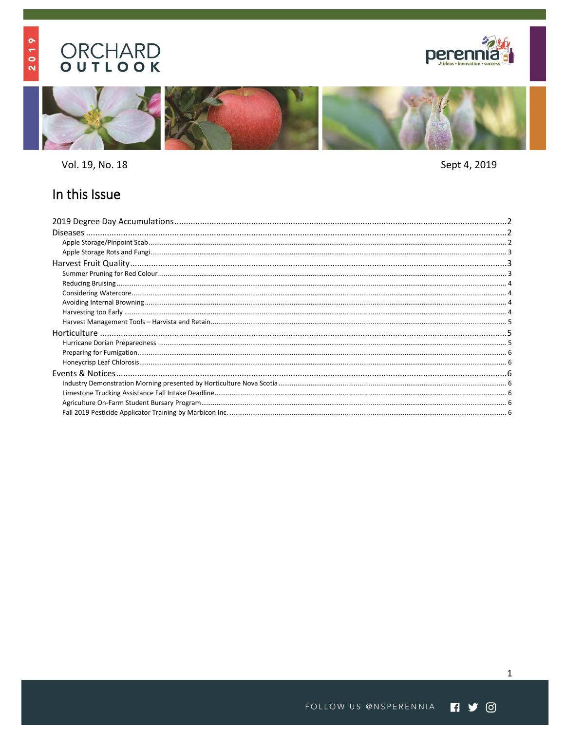# **ORCHARD**<br> **OUTLOOK**

2019





Vol. 19, No. 18

Sept 4, 2019

# In this Issue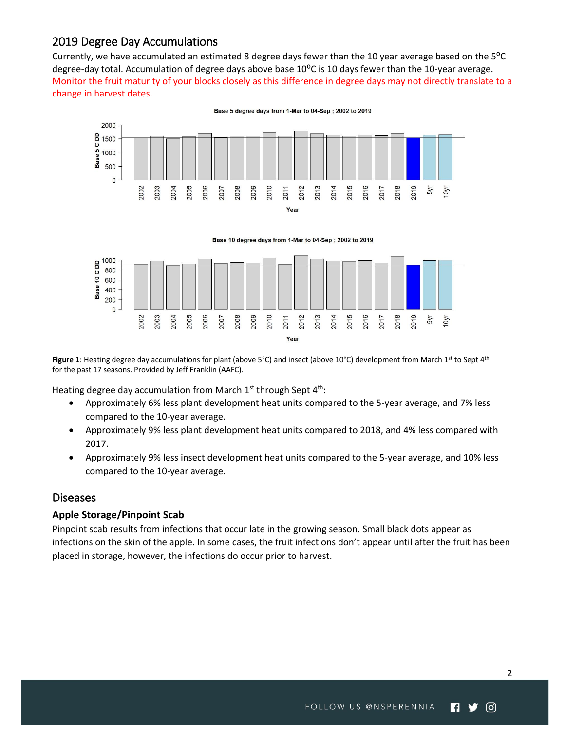# <span id="page-1-0"></span>2019 Degree Day Accumulations

Currently, we have accumulated an estimated 8 degree days fewer than the 10 year average based on the 5<sup>o</sup>C degree-day total. Accumulation of degree days above base 10<sup>o</sup>C is 10 days fewer than the 10-year average. Monitor the fruit maturity of your blocks closely as this difference in degree days may not directly translate to a change in harvest dates.



Base 5 degree days from 1-Mar to 04-Sep; 2002 to 2019



Figure 1: Heating degree day accumulations for plant (above 5°C) and insect (above 10°C) development from March 1<sup>st</sup> to Sept 4<sup>th</sup> for the past 17 seasons. Provided by Jeff Franklin (AAFC).

Heating degree day accumulation from March 1st through Sept 4<sup>th</sup>:

- Approximately 6% less plant development heat units compared to the 5-year average, and 7% less compared to the 10-year average.
- Approximately 9% less plant development heat units compared to 2018, and 4% less compared with 2017.
- Approximately 9% less insect development heat units compared to the 5-year average, and 10% less compared to the 10-year average.

#### <span id="page-1-1"></span>**Diseases**

#### <span id="page-1-2"></span>**Apple Storage/Pinpoint Scab**

Pinpoint scab results from infections that occur late in the growing season. Small black dots appear as infections on the skin of the apple. In some cases, the fruit infections don't appear until after the fruit has been placed in storage, however, the infections do occur prior to harvest.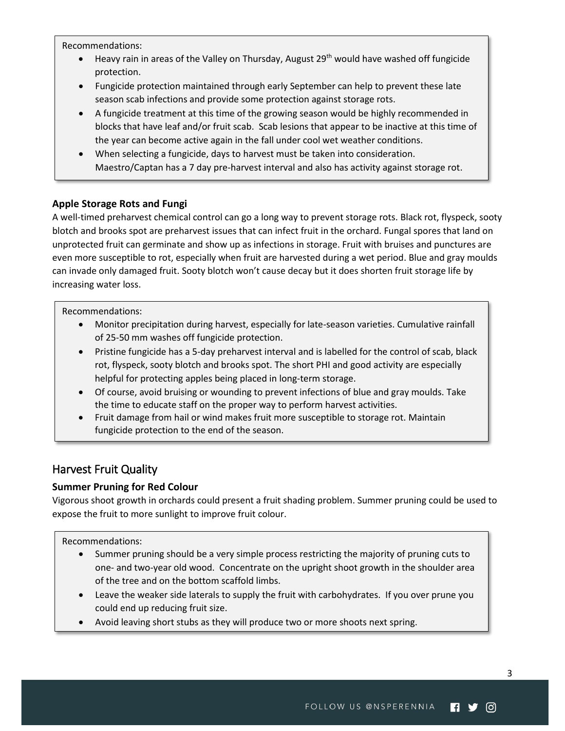Recommendations:

- Heavy rain in areas of the Valley on Thursday, August 29<sup>th</sup> would have washed off fungicide protection.
- Fungicide protection maintained through early September can help to prevent these late season scab infections and provide some protection against storage rots.
- A fungicide treatment at this time of the growing season would be highly recommended in blocks that have leaf and/or fruit scab. Scab lesions that appear to be inactive at this time of the year can become active again in the fall under cool wet weather conditions.
- When selecting a fungicide, days to harvest must be taken into consideration. Maestro/Captan has a 7 day pre-harvest interval and also has activity against storage rot.

#### <span id="page-2-0"></span>**Apple Storage Rots and Fungi**

A well-timed preharvest chemical control can go a long way to prevent storage rots. Black rot, flyspeck, sooty blotch and brooks spot are preharvest issues that can infect fruit in the orchard. Fungal spores that land on unprotected fruit can germinate and show up as infections in storage. Fruit with bruises and punctures are even more susceptible to rot, especially when fruit are harvested during a wet period. Blue and gray moulds can invade only damaged fruit. Sooty blotch won't cause decay but it does shorten fruit storage life by increasing water loss.

Recommendations:

- Monitor precipitation during harvest, especially for late-season varieties. Cumulative rainfall of 25-50 mm washes off fungicide protection.
- Pristine fungicide has a 5-day preharvest interval and is labelled for the control of scab, black rot, flyspeck, sooty blotch and brooks spot. The short PHI and good activity are especially helpful for protecting apples being placed in long-term storage.
- Of course, avoid bruising or wounding to prevent infections of blue and gray moulds. Take the time to educate staff on the proper way to perform harvest activities.
- Fruit damage from hail or wind makes fruit more susceptible to storage rot. Maintain fungicide protection to the end of the season.

# <span id="page-2-1"></span>Harvest Fruit Quality

### <span id="page-2-2"></span>**Summer Pruning for Red Colour**

Vigorous shoot growth in orchards could present a fruit shading problem. Summer pruning could be used to expose the fruit to more sunlight to improve fruit colour.

#### Recommendations:

- Summer pruning should be a very simple process restricting the majority of pruning cuts to one- and two-year old wood. Concentrate on the upright shoot growth in the shoulder area of the tree and on the bottom scaffold limbs.
- Leave the weaker side laterals to supply the fruit with carbohydrates. If you over prune you could end up reducing fruit size.
- Avoid leaving short stubs as they will produce two or more shoots next spring.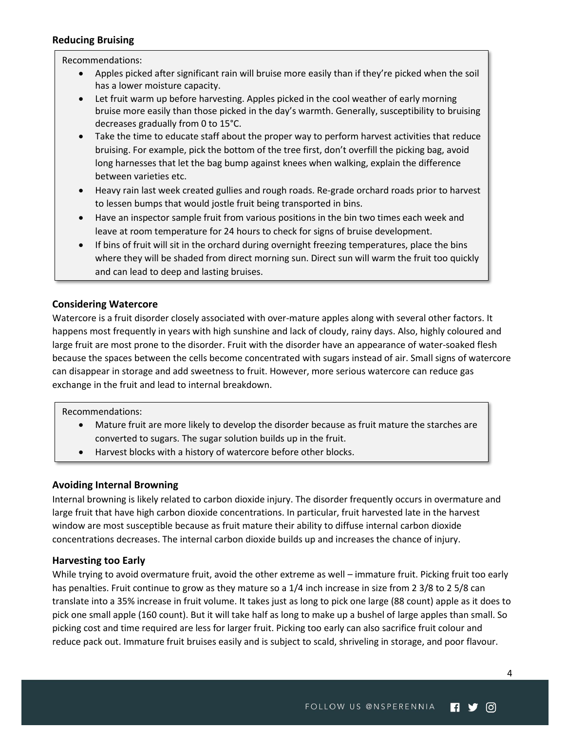#### <span id="page-3-0"></span>**Reducing Bruising**

#### Recommendations:

- Apples picked after significant rain will bruise more easily than if they're picked when the soil has a lower moisture capacity.
- Let fruit warm up before harvesting. Apples picked in the cool weather of early morning bruise more easily than those picked in the day's warmth. Generally, susceptibility to bruising decreases gradually from 0 to 15°C.
- Take the time to educate staff about the proper way to perform harvest activities that reduce bruising. For example, pick the bottom of the tree first, don't overfill the picking bag, avoid long harnesses that let the bag bump against knees when walking, explain the difference between varieties etc.
- Heavy rain last week created gullies and rough roads. Re-grade orchard roads prior to harvest to lessen bumps that would jostle fruit being transported in bins.
- Have an inspector sample fruit from various positions in the bin two times each week and leave at room temperature for 24 hours to check for signs of bruise development.
- If bins of fruit will sit in the orchard during overnight freezing temperatures, place the bins where they will be shaded from direct morning sun. Direct sun will warm the fruit too quickly and can lead to deep and lasting bruises.

#### <span id="page-3-1"></span>**Considering Watercore**

Watercore is a fruit disorder closely associated with over-mature apples along with several other factors. It happens most frequently in years with high sunshine and lack of cloudy, rainy days. Also, highly coloured and large fruit are most prone to the disorder. Fruit with the disorder have an appearance of water-soaked flesh because the spaces between the cells become concentrated with sugars instead of air. Small signs of watercore can disappear in storage and add sweetness to fruit. However, more serious watercore can reduce gas exchange in the fruit and lead to internal breakdown.

#### Recommendations:

- Mature fruit are more likely to develop the disorder because as fruit mature the starches are converted to sugars. The sugar solution builds up in the fruit.
- Harvest blocks with a history of watercore before other blocks.

#### <span id="page-3-2"></span>**Avoiding Internal Browning**

Internal browning is likely related to carbon dioxide injury. The disorder frequently occurs in overmature and large fruit that have high carbon dioxide concentrations. In particular, fruit harvested late in the harvest window are most susceptible because as fruit mature their ability to diffuse internal carbon dioxide concentrations decreases. The internal carbon dioxide builds up and increases the chance of injury.

#### <span id="page-3-3"></span>**Harvesting too Early**

While trying to avoid overmature fruit, avoid the other extreme as well – immature fruit. Picking fruit too early has penalties. Fruit continue to grow as they mature so a 1/4 inch increase in size from 2 3/8 to 2 5/8 can translate into a 35% increase in fruit volume. It takes just as long to pick one large (88 count) apple as it does to pick one small apple (160 count). But it will take half as long to make up a bushel of large apples than small. So picking cost and time required are less for larger fruit. Picking too early can also sacrifice fruit colour and reduce pack out. Immature fruit bruises easily and is subject to scald, shriveling in storage, and poor flavour.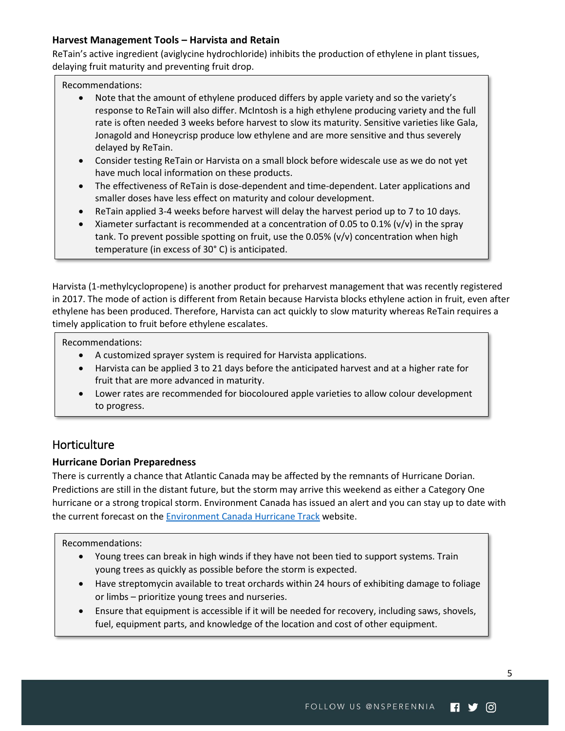#### <span id="page-4-0"></span>**Harvest Management Tools – Harvista and Retain**

ReTain's active ingredient (aviglycine hydrochloride) inhibits the production of ethylene in plant tissues, delaying fruit maturity and preventing fruit drop.

Recommendations:

- Note that the amount of ethylene produced differs by apple variety and so the variety's response to ReTain will also differ. McIntosh is a high ethylene producing variety and the full rate is often needed 3 weeks before harvest to slow its maturity. Sensitive varieties like Gala, Jonagold and Honeycrisp produce low ethylene and are more sensitive and thus severely delayed by ReTain.
- Consider testing ReTain or Harvista on a small block before widescale use as we do not yet have much local information on these products.
- The effectiveness of ReTain is dose-dependent and time-dependent. Later applications and smaller doses have less effect on maturity and colour development.
- ReTain applied 3-4 weeks before harvest will delay the harvest period up to 7 to 10 days.
- $\bullet$  Xiameter surfactant is recommended at a concentration of 0.05 to 0.1% (v/v) in the spray tank. To prevent possible spotting on fruit, use the 0.05% (v/v) concentration when high temperature (in excess of 30° C) is anticipated.

Harvista (1-methylcyclopropene) is another product for preharvest management that was recently registered in 2017. The mode of action is different from Retain because Harvista blocks ethylene action in fruit, even after ethylene has been produced. Therefore, Harvista can act quickly to slow maturity whereas ReTain requires a timely application to fruit before ethylene escalates.

Recommendations:

- A customized sprayer system is required for Harvista applications.
- Harvista can be applied 3 to 21 days before the anticipated harvest and at a higher rate for fruit that are more advanced in maturity.
- Lower rates are recommended for biocoloured apple varieties to allow colour development to progress.

# <span id="page-4-1"></span>**Horticulture**

#### <span id="page-4-2"></span>**Hurricane Dorian Preparedness**

There is currently a chance that Atlantic Canada may be affected by the remnants of Hurricane Dorian. Predictions are still in the distant future, but the storm may arrive this weekend as either a Category One hurricane or a strong tropical storm. Environment Canada has issued an alert and you can stay up to date with the current forecast on the [Environment Canada Hurricane Track](https://weather.gc.ca/hurricane/track_e.html) website.

Recommendations:

- Young trees can break in high winds if they have not been tied to support systems. Train young trees as quickly as possible before the storm is expected.
- Have streptomycin available to treat orchards within 24 hours of exhibiting damage to foliage or limbs – prioritize young trees and nurseries.
- Ensure that equipment is accessible if it will be needed for recovery, including saws, shovels, fuel, equipment parts, and knowledge of the location and cost of other equipment.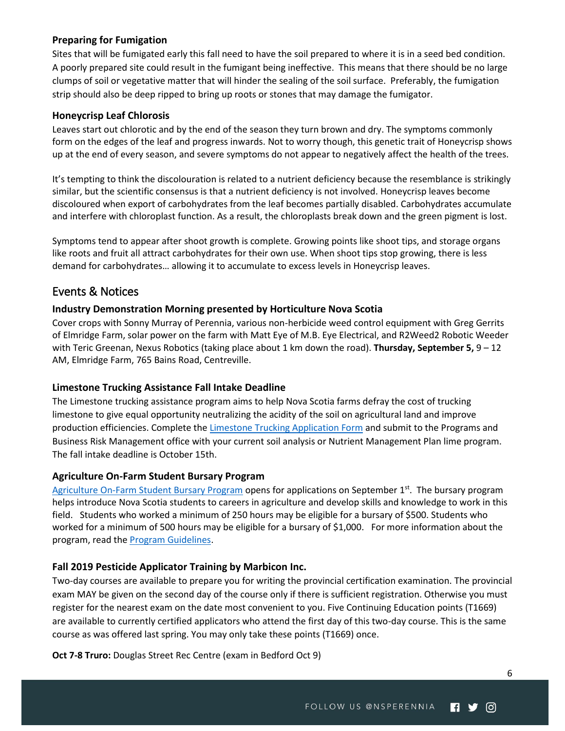#### <span id="page-5-0"></span>**Preparing for Fumigation**

Sites that will be fumigated early this fall need to have the soil prepared to where it is in a seed bed condition. A poorly prepared site could result in the fumigant being ineffective. This means that there should be no large clumps of soil or vegetative matter that will hinder the sealing of the soil surface. Preferably, the fumigation strip should also be deep ripped to bring up roots or stones that may damage the fumigator.

#### <span id="page-5-1"></span>**Honeycrisp Leaf Chlorosis**

Leaves start out chlorotic and by the end of the season they turn brown and dry. The symptoms commonly form on the edges of the leaf and progress inwards. Not to worry though, this genetic trait of Honeycrisp shows up at the end of every season, and severe symptoms do not appear to negatively affect the health of the trees.

It's tempting to think the discolouration is related to a nutrient deficiency because the resemblance is strikingly similar, but the scientific consensus is that a nutrient deficiency is not involved. Honeycrisp leaves become discoloured when export of carbohydrates from the leaf becomes partially disabled. Carbohydrates accumulate and interfere with chloroplast function. As a result, the chloroplasts break down and the green pigment is lost.

Symptoms tend to appear after shoot growth is complete. Growing points like shoot tips, and storage organs like roots and fruit all attract carbohydrates for their own use. When shoot tips stop growing, there is less demand for carbohydrates… allowing it to accumulate to excess levels in Honeycrisp leaves.

## <span id="page-5-2"></span>Events & Notices

#### <span id="page-5-3"></span>**Industry Demonstration Morning presented by Horticulture Nova Scotia**

Cover crops with Sonny Murray of Perennia, various non-herbicide weed control equipment with Greg Gerrits of Elmridge Farm, solar power on the farm with Matt Eye of M.B. Eye Electrical, and R2Weed2 Robotic Weeder with Teric Greenan, Nexus Robotics (taking place about 1 km down the road). **Thursday, September 5,** 9 – 12 AM, Elmridge Farm, 765 Bains Road, Centreville.

#### <span id="page-5-4"></span>**Limestone Trucking Assistance Fall Intake Deadline**

The Limestone trucking assistance program aims to help Nova Scotia farms defray the cost of trucking limestone to give equal opportunity neutralizing the acidity of the soil on agricultural land and improve production efficiencies. Complete the [Limestone Trucking Application Form](https://novascotia.ca/programs/limestone-trucking-assistance/) and submit to the Programs and Business Risk Management office with your current soil analysis or Nutrient Management Plan lime program. The fall intake deadline is October 15th.

#### <span id="page-5-5"></span>**Agriculture On-Farm Student Bursary Program**

[Agriculture On-Farm Student Bursary Program](https://novascotia.ca/programs/on-farm-student-bursary/) opens for applications on September 1st. The bursary program helps introduce Nova Scotia students to careers in agriculture and develop skills and knowledge to work in this field. Students who worked a minimum of 250 hours may be eligible for a bursary of \$500. Students who worked for a minimum of 500 hours may be eligible for a bursary of \$1,000. For more information about the program, read th[e Program Guidelines.](https://novascotia.ca/programs/on-farm-student-bursary/docs/19-20_Agriculture_On-Farm_Student_Bursary_Program_Guidelines.pdf)

#### <span id="page-5-6"></span>**Fall 2019 Pesticide Applicator Training by Marbicon Inc.**

Two-day courses are available to prepare you for writing the provincial certification examination. The provincial exam MAY be given on the second day of the course only if there is sufficient registration. Otherwise you must register for the nearest exam on the date most convenient to you. Five Continuing Education points (T1669) are available to currently certified applicators who attend the first day of this two-day course. This is the same course as was offered last spring. You may only take these points (T1669) once.

**Oct 7-8 Truro:** Douglas Street Rec Centre (exam in Bedford Oct 9)